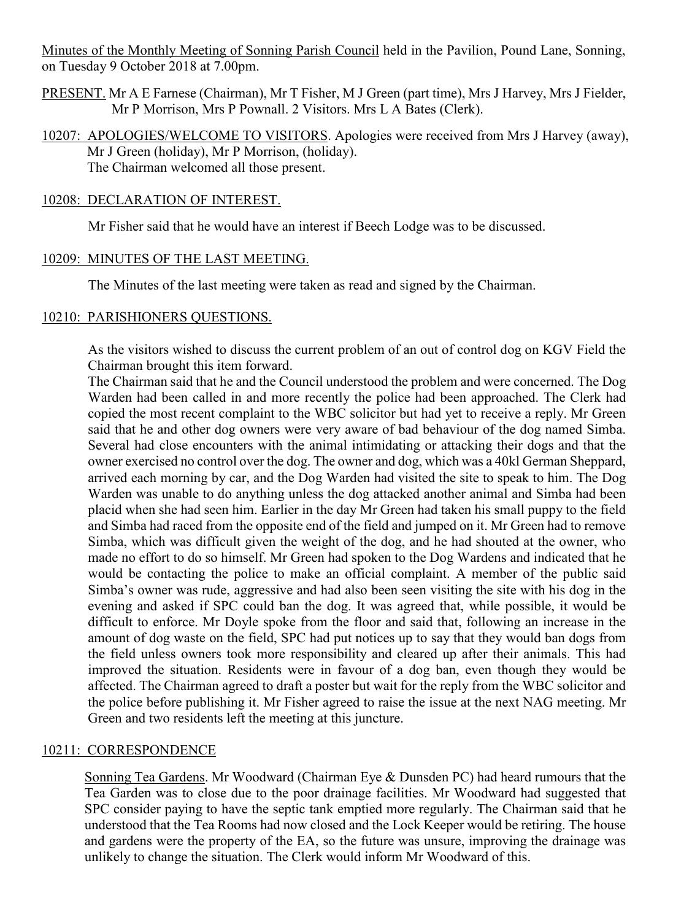Minutes of the Monthly Meeting of Sonning Parish Council held in the Pavilion, Pound Lane, Sonning, on Tuesday 9 October 2018 at 7.00pm.

- PRESENT. Mr A E Farnese (Chairman), Mr T Fisher, M J Green (part time), Mrs J Harvey, Mrs J Fielder, Mr P Morrison, Mrs P Pownall. 2 Visitors. Mrs L A Bates (Clerk).
- 10207: APOLOGIES/WELCOME TO VISITORS. Apologies were received from Mrs J Harvey (away), Mr J Green (holiday), Mr P Morrison, (holiday). The Chairman welcomed all those present.

#### 10208: DECLARATION OF INTEREST.

Mr Fisher said that he would have an interest if Beech Lodge was to be discussed.

### 10209: MINUTES OF THE LAST MEETING.

The Minutes of the last meeting were taken as read and signed by the Chairman.

### 10210: PARISHIONERS QUESTIONS.

As the visitors wished to discuss the current problem of an out of control dog on KGV Field the Chairman brought this item forward.

The Chairman said that he and the Council understood the problem and were concerned. The Dog Warden had been called in and more recently the police had been approached. The Clerk had copied the most recent complaint to the WBC solicitor but had yet to receive a reply. Mr Green said that he and other dog owners were very aware of bad behaviour of the dog named Simba. Several had close encounters with the animal intimidating or attacking their dogs and that the owner exercised no control over the dog. The owner and dog, which was a 40kl German Sheppard, arrived each morning by car, and the Dog Warden had visited the site to speak to him. The Dog Warden was unable to do anything unless the dog attacked another animal and Simba had been placid when she had seen him. Earlier in the day Mr Green had taken his small puppy to the field and Simba had raced from the opposite end of the field and jumped on it. Mr Green had to remove Simba, which was difficult given the weight of the dog, and he had shouted at the owner, who made no effort to do so himself. Mr Green had spoken to the Dog Wardens and indicated that he would be contacting the police to make an official complaint. A member of the public said Simba's owner was rude, aggressive and had also been seen visiting the site with his dog in the evening and asked if SPC could ban the dog. It was agreed that, while possible, it would be difficult to enforce. Mr Doyle spoke from the floor and said that, following an increase in the amount of dog waste on the field, SPC had put notices up to say that they would ban dogs from the field unless owners took more responsibility and cleared up after their animals. This had improved the situation. Residents were in favour of a dog ban, even though they would be affected. The Chairman agreed to draft a poster but wait for the reply from the WBC solicitor and the police before publishing it. Mr Fisher agreed to raise the issue at the next NAG meeting. Mr Green and two residents left the meeting at this juncture.

#### 10211: CORRESPONDENCE

Sonning Tea Gardens. Mr Woodward (Chairman Eye & Dunsden PC) had heard rumours that the Tea Garden was to close due to the poor drainage facilities. Mr Woodward had suggested that SPC consider paying to have the septic tank emptied more regularly. The Chairman said that he understood that the Tea Rooms had now closed and the Lock Keeper would be retiring. The house and gardens were the property of the EA, so the future was unsure, improving the drainage was unlikely to change the situation. The Clerk would inform Mr Woodward of this.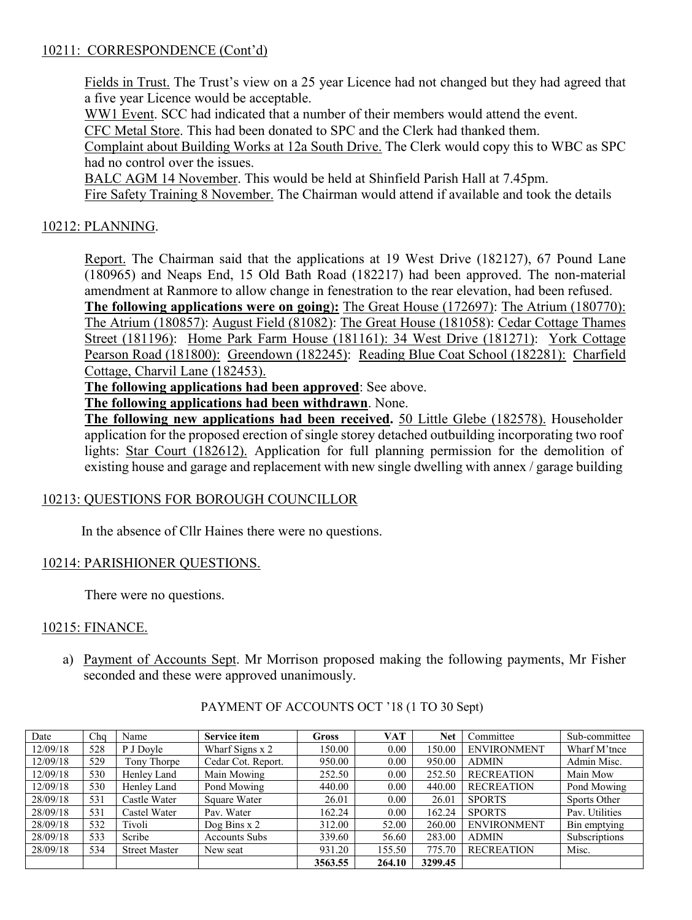# 10211: CORRESPONDENCE (Cont'd)

Fields in Trust. The Trust's view on a 25 year Licence had not changed but they had agreed that a five year Licence would be acceptable.

WW1 Event. SCC had indicated that a number of their members would attend the event. CFC Metal Store. This had been donated to SPC and the Clerk had thanked them.

Complaint about Building Works at 12a South Drive. The Clerk would copy this to WBC as SPC had no control over the issues.

BALC AGM 14 November. This would be held at Shinfield Parish Hall at 7.45pm.

Fire Safety Training 8 November. The Chairman would attend if available and took the details

# 10212: PLANNING.

Report. The Chairman said that the applications at 19 West Drive (182127), 67 Pound Lane (180965) and Neaps End, 15 Old Bath Road (182217) had been approved. The non-material amendment at Ranmore to allow change in fenestration to the rear elevation, had been refused.

**The following applications were on going**)**:** The Great House (172697): The Atrium (180770): The Atrium (180857): August Field (81082): The Great House (181058): Cedar Cottage Thames Street (181196): Home Park Farm House (181161): 34 West Drive (181271): York Cottage Pearson Road (181800): Greendown (182245): Reading Blue Coat School (182281): Charfield Cottage, Charvil Lane (182453).

**The following applications had been approved**: See above.

**The following applications had been withdrawn**. None.

**The following new applications had been received.** 50 Little Glebe (182578). Householder application for the proposed erection of single storey detached outbuilding incorporating two roof lights: Star Court (182612). Application for full planning permission for the demolition of existing house and garage and replacement with new single dwelling with annex / garage building

# 10213: QUESTIONS FOR BOROUGH COUNCILLOR

In the absence of Cllr Haines there were no questions.

# 10214: PARISHIONER QUESTIONS.

There were no questions.

# 10215: FINANCE.

a) Payment of Accounts Sept. Mr Morrison proposed making the following payments, Mr Fisher seconded and these were approved unanimously.

| Date     | Cha | Name                 | <b>Service item</b>  | <b>Gross</b> | <b>VAT</b> | <b>Net</b> | Committee          | Sub-committee  |
|----------|-----|----------------------|----------------------|--------------|------------|------------|--------------------|----------------|
| 12/09/18 | 528 | P J Doyle            | Wharf Signs x 2      | 150.00       | 0.00       | 150.00     | <b>ENVIRONMENT</b> | Wharf M'tnce   |
| 12/09/18 | 529 | Tony Thorpe          | Cedar Cot. Report.   | 950.00       | 0.00       | 950.00     | <b>ADMIN</b>       | Admin Misc.    |
| 12/09/18 | 530 | Henley Land          | Main Mowing          | 252.50       | 0.00       | 252.50     | <b>RECREATION</b>  | Main Mow       |
| 12/09/18 | 530 | Henley Land          | Pond Mowing          | 440.00       | 0.00       | 440.00     | <b>RECREATION</b>  | Pond Mowing    |
| 28/09/18 | 531 | Castle Water         | Square Water         | 26.01        | 0.00       | 26.01      | <b>SPORTS</b>      | Sports Other   |
| 28/09/18 | 531 | Castel Water         | Pav. Water           | 162.24       | 0.00       | 162.24     | <b>SPORTS</b>      | Pav. Utilities |
| 28/09/18 | 532 | Tivoli               | Dog Bins $x$ 2       | 312.00       | 52.00      | 260.00     | <b>ENVIRONMENT</b> | Bin emptying   |
| 28/09/18 | 533 | Scribe               | <b>Accounts Subs</b> | 339.60       | 56.60      | 283.00     | <b>ADMIN</b>       | Subscriptions  |
| 28/09/18 | 534 | <b>Street Master</b> | New seat             | 931.20       | 155.50     | 775.70     | <b>RECREATION</b>  | Misc.          |
|          |     |                      |                      | 3563.55      | 264.10     | 3299.45    |                    |                |

# PAYMENT OF ACCOUNTS OCT '18 (1 TO 30 Sept)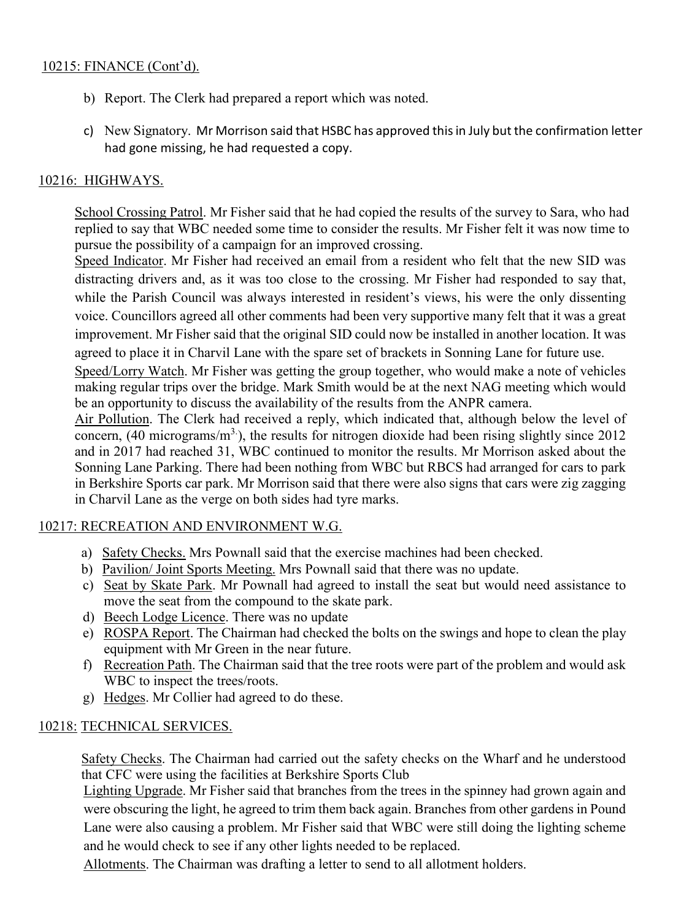# 10215: FINANCE (Cont'd).

- b) Report. The Clerk had prepared a report which was noted.
- c) New Signatory. Mr Morrison said that HSBC has approved this in July but the confirmation letter had gone missing, he had requested a copy.

# 10216: HIGHWAYS.

School Crossing Patrol. Mr Fisher said that he had copied the results of the survey to Sara, who had replied to say that WBC needed some time to consider the results. Mr Fisher felt it was now time to pursue the possibility of a campaign for an improved crossing.

Speed Indicator. Mr Fisher had received an email from a resident who felt that the new SID was distracting drivers and, as it was too close to the crossing. Mr Fisher had responded to say that, while the Parish Council was always interested in resident's views, his were the only dissenting voice. Councillors agreed all other comments had been very supportive many felt that it was a great improvement. Mr Fisher said that the original SID could now be installed in another location. It was agreed to place it in Charvil Lane with the spare set of brackets in Sonning Lane for future use.

Speed/Lorry Watch. Mr Fisher was getting the group together, who would make a note of vehicles making regular trips over the bridge. Mark Smith would be at the next NAG meeting which would be an opportunity to discuss the availability of the results from the ANPR camera.

Air Pollution. The Clerk had received a reply, which indicated that, although below the level of concern,  $(40 \text{ micrograms/m}^3)$ , the results for nitrogen dioxide had been rising slightly since 2012 and in 2017 had reached 31, WBC continued to monitor the results. Mr Morrison asked about the Sonning Lane Parking. There had been nothing from WBC but RBCS had arranged for cars to park in Berkshire Sports car park. Mr Morrison said that there were also signs that cars were zig zagging in Charvil Lane as the verge on both sides had tyre marks.

# 10217: RECREATION AND ENVIRONMENT W.G.

- a) Safety Checks. Mrs Pownall said that the exercise machines had been checked.
- b) Pavilion/ Joint Sports Meeting. Mrs Pownall said that there was no update.
- c) Seat by Skate Park. Mr Pownall had agreed to install the seat but would need assistance to move the seat from the compound to the skate park.
- d) Beech Lodge Licence. There was no update
- e) ROSPA Report. The Chairman had checked the bolts on the swings and hope to clean the play equipment with Mr Green in the near future.
- f) Recreation Path. The Chairman said that the tree roots were part of the problem and would ask WBC to inspect the trees/roots.
- g) Hedges. Mr Collier had agreed to do these.

### 10218: TECHNICAL SERVICES.

Safety Checks. The Chairman had carried out the safety checks on the Wharf and he understood that CFC were using the facilities at Berkshire Sports Club

Lighting Upgrade. Mr Fisher said that branches from the trees in the spinney had grown again and were obscuring the light, he agreed to trim them back again. Branches from other gardens in Pound Lane were also causing a problem. Mr Fisher said that WBC were still doing the lighting scheme and he would check to see if any other lights needed to be replaced.

Allotments. The Chairman was drafting a letter to send to all allotment holders.